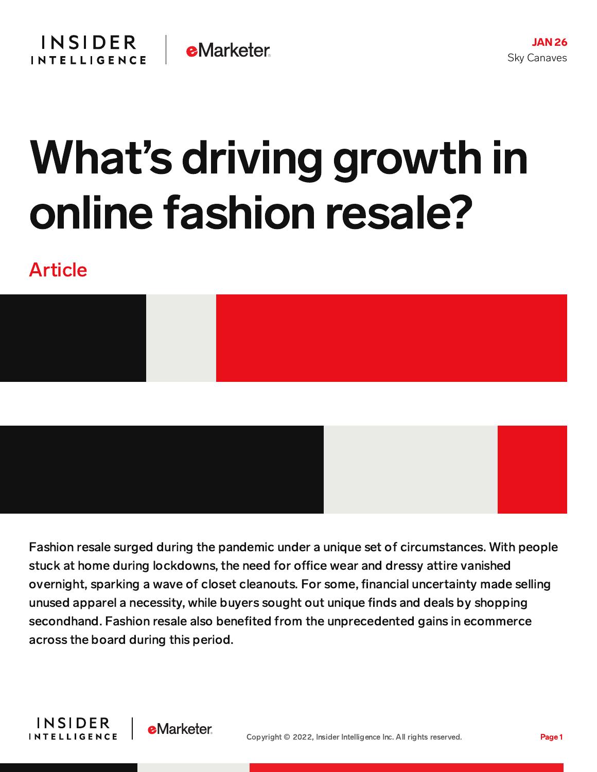## What's driving growth in online fashion resale?

## Article



Fashion resale surged during the pandemic under a unique set of circumstances. With people stuck at home during lockdowns, the need for office wear and dressy attire vanished overnight, sparking a wave of closet cleanouts. For some, financial uncertainty made selling unused apparel a necessity, while buyers sought out unique finds and deals by shopping secondhand. Fashion resale also benefited from the unprecedented gains in ecommerce across the board during this period.

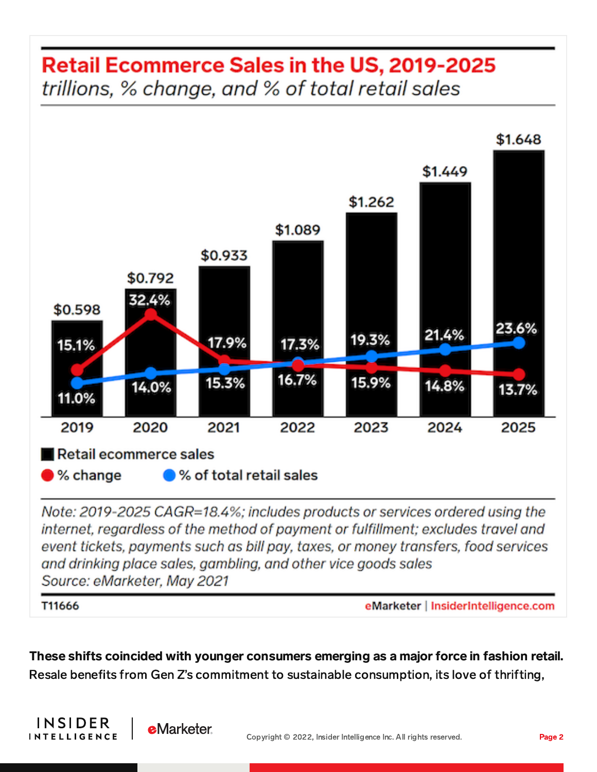## **Retail Ecommerce Sales in the US, 2019-2025** trillions, % change, and % of total retail sales



Note: 2019-2025 CAGR=18.4%; includes products or services ordered using the internet, regardless of the method of payment or fulfillment; excludes travel and event tickets, payments such as bill pay, taxes, or money transfers, food services and drinking place sales, gambling, and other vice goods sales Source: eMarketer, May 2021

T11666

INSIDER

**INTELLIGENCE** 

**e**Marketer

eMarketer | InsiderIntelligence.com

These shifts coincided with younger consumers emerging as a major force in fashion retail. Resale benefits from Gen Z's commitment to sustainable consumption, its love of thrifting,